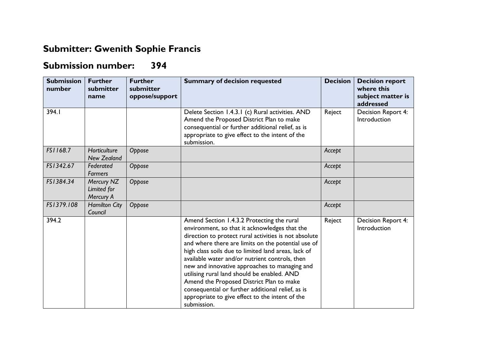## **Submitter: Gwenith Sophie Francis**

## **Submission number: 394**

| <b>Submission</b><br>number | <b>Further</b><br>submitter<br>name    | <b>Further</b><br>submitter<br>oppose/support | <b>Summary of decision requested</b>                                                                                                                                                                                                                                                                                                                                                                                                                                                                                                                                                   | <b>Decision</b> | <b>Decision report</b><br>where this<br>subject matter is<br>addressed |
|-----------------------------|----------------------------------------|-----------------------------------------------|----------------------------------------------------------------------------------------------------------------------------------------------------------------------------------------------------------------------------------------------------------------------------------------------------------------------------------------------------------------------------------------------------------------------------------------------------------------------------------------------------------------------------------------------------------------------------------------|-----------------|------------------------------------------------------------------------|
| 394.I                       |                                        |                                               | Delete Section 1.4.3.1 (c) Rural activities. AND<br>Amend the Proposed District Plan to make<br>consequential or further additional relief, as is<br>appropriate to give effect to the intent of the<br>submission.                                                                                                                                                                                                                                                                                                                                                                    | Reject          | Decision Report 4:<br>Introduction                                     |
| FS1168.7                    | Horticulture<br>New Zealand            | Oppose                                        |                                                                                                                                                                                                                                                                                                                                                                                                                                                                                                                                                                                        | Accept          |                                                                        |
| FS1342.67                   | Federated<br><b>Farmers</b>            | Oppose                                        |                                                                                                                                                                                                                                                                                                                                                                                                                                                                                                                                                                                        | Accept          |                                                                        |
| FS1384.34                   | Mercury NZ<br>Limited for<br>Mercury A | Oppose                                        |                                                                                                                                                                                                                                                                                                                                                                                                                                                                                                                                                                                        | Accept          |                                                                        |
| FS1379.108                  | <b>Hamilton City</b><br>Council        | Oppose                                        |                                                                                                                                                                                                                                                                                                                                                                                                                                                                                                                                                                                        | Accept          |                                                                        |
| 394.2                       |                                        |                                               | Amend Section 1.4.3.2 Protecting the rural<br>environment, so that it acknowledges that the<br>direction to protect rural activities is not absolute<br>and where there are limits on the potential use of<br>high class soils due to limited land areas, lack of<br>available water and/or nutrient controls, then<br>new and innovative approaches to managing and<br>utilising rural land should be enabled. AND<br>Amend the Proposed District Plan to make<br>consequential or further additional relief, as is<br>appropriate to give effect to the intent of the<br>submission. | Reject          | Decision Report 4:<br>Introduction                                     |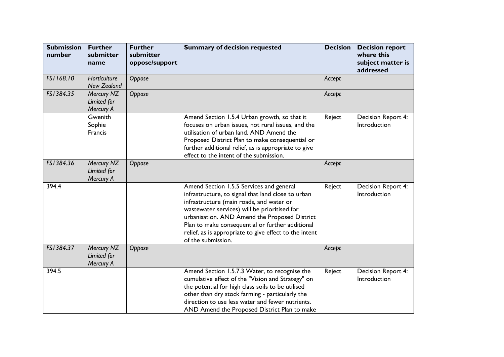| <b>Submission</b><br>number | <b>Further</b><br>submitter<br>name    | <b>Further</b><br>submitter<br>oppose/support | <b>Summary of decision requested</b>                                                                                                                                                                                                                                                                                                                                            | <b>Decision</b> | <b>Decision report</b><br>where this<br>subject matter is<br>addressed |
|-----------------------------|----------------------------------------|-----------------------------------------------|---------------------------------------------------------------------------------------------------------------------------------------------------------------------------------------------------------------------------------------------------------------------------------------------------------------------------------------------------------------------------------|-----------------|------------------------------------------------------------------------|
| FS1168.10                   | Horticulture<br><b>New Zealand</b>     | Oppose                                        |                                                                                                                                                                                                                                                                                                                                                                                 | Accept          |                                                                        |
| FS1384.35                   | Mercury NZ<br>Limited for<br>Mercury A | Oppose                                        |                                                                                                                                                                                                                                                                                                                                                                                 | Accept          |                                                                        |
|                             | Gwenith<br>Sophie<br>Francis           |                                               | Amend Section 1.5.4 Urban growth, so that it<br>focuses on urban issues, not rural issues, and the<br>utilisation of urban land. AND Amend the<br>Proposed District Plan to make consequential or<br>further additional relief, as is appropriate to give<br>effect to the intent of the submission.                                                                            | Reject          | Decision Report 4:<br>Introduction                                     |
| FS1384.36                   | Mercury NZ<br>Limited for<br>Mercury A | Oppose                                        |                                                                                                                                                                                                                                                                                                                                                                                 | Accept          |                                                                        |
| 394.4                       |                                        |                                               | Amend Section 1.5.5 Services and general<br>infrastructure, to signal that land close to urban<br>infrastructure (main roads, and water or<br>wastewater services) will be prioritised for<br>urbanisation. AND Amend the Proposed District<br>Plan to make consequential or further additional<br>relief, as is appropriate to give effect to the intent<br>of the submission. | Reject          | Decision Report 4:<br>Introduction                                     |
| FS1384.37                   | Mercury NZ<br>Limited for<br>Mercury A | Oppose                                        |                                                                                                                                                                                                                                                                                                                                                                                 | Accept          |                                                                        |
| 394.5                       |                                        |                                               | Amend Section 1.5.7.3 Water, to recognise the<br>cumulative effect of the "Vision and Strategy" on<br>the potential for high class soils to be utilised<br>other than dry stock farming - particularly the<br>direction to use less water and fewer nutrients.<br>AND Amend the Proposed District Plan to make                                                                  | Reject          | Decision Report 4:<br>Introduction                                     |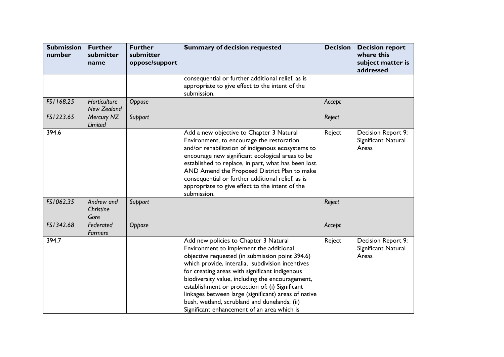| <b>Submission</b><br>number | <b>Further</b><br>submitter<br>name | <b>Further</b><br>submitter<br>oppose/support | <b>Summary of decision requested</b>                                                                                                                                                                                                                                                                                                                                                                                                                                                                    | <b>Decision</b> | <b>Decision report</b><br>where this<br>subject matter is<br>addressed |
|-----------------------------|-------------------------------------|-----------------------------------------------|---------------------------------------------------------------------------------------------------------------------------------------------------------------------------------------------------------------------------------------------------------------------------------------------------------------------------------------------------------------------------------------------------------------------------------------------------------------------------------------------------------|-----------------|------------------------------------------------------------------------|
|                             |                                     |                                               | consequential or further additional relief, as is<br>appropriate to give effect to the intent of the<br>submission.                                                                                                                                                                                                                                                                                                                                                                                     |                 |                                                                        |
| FS1168.25                   | Horticulture<br><b>New Zealand</b>  | Oppose                                        |                                                                                                                                                                                                                                                                                                                                                                                                                                                                                                         | Accept          |                                                                        |
| FS1223.65                   | Mercury NZ<br>Limited               | Support                                       |                                                                                                                                                                                                                                                                                                                                                                                                                                                                                                         | Reject          |                                                                        |
| 394.6                       |                                     |                                               | Add a new objective to Chapter 3 Natural<br>Environment, to encourage the restoration<br>and/or rehabilitation of indigenous ecosystems to<br>encourage new significant ecological areas to be<br>established to replace, in part, what has been lost.<br>AND Amend the Proposed District Plan to make<br>consequential or further additional relief, as is<br>appropriate to give effect to the intent of the<br>submission.                                                                           | Reject          | Decision Report 9:<br>Significant Natural<br>Areas                     |
| FS1062.35                   | Andrew and<br>Christine<br>Gore     | Support                                       |                                                                                                                                                                                                                                                                                                                                                                                                                                                                                                         | Reject          |                                                                        |
| FS1342.68                   | Federated<br><b>Farmers</b>         | Oppose                                        |                                                                                                                                                                                                                                                                                                                                                                                                                                                                                                         | Accept          |                                                                        |
| 394.7                       |                                     |                                               | Add new policies to Chapter 3 Natural<br>Environment to implement the additional<br>objective requested (in submission point 394.6)<br>which provide, interalia, subdivision incentives<br>for creating areas with significant indigenous<br>biodiversity value, including the encouragement,<br>establishment or protection of: (i) Significant<br>linkages between large (significant) areas of native<br>bush, wetland, scrubland and dunelands; (ii)<br>Significant enhancement of an area which is | Reject          | Decision Report 9:<br>Significant Natural<br>Areas                     |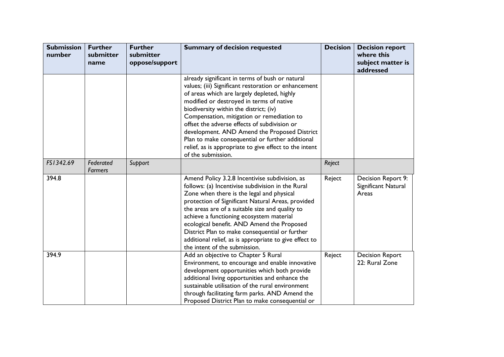| <b>Submission</b><br>number | <b>Further</b><br>submitter<br>name | <b>Further</b><br>submitter<br>oppose/support | <b>Summary of decision requested</b>                                                                                                                                                                                                                                                                                                                                                                                                                                                                                           | <b>Decision</b> | <b>Decision report</b><br>where this<br>subject matter is<br>addressed |
|-----------------------------|-------------------------------------|-----------------------------------------------|--------------------------------------------------------------------------------------------------------------------------------------------------------------------------------------------------------------------------------------------------------------------------------------------------------------------------------------------------------------------------------------------------------------------------------------------------------------------------------------------------------------------------------|-----------------|------------------------------------------------------------------------|
|                             |                                     |                                               | already significant in terms of bush or natural<br>values; (iii) Significant restoration or enhancement<br>of areas which are largely depleted, highly<br>modified or destroyed in terms of native<br>biodiversity within the district; (iv)<br>Compensation, mitigation or remediation to<br>offset the adverse effects of subdivision or<br>development. AND Amend the Proposed District<br>Plan to make consequential or further additional<br>relief, as is appropriate to give effect to the intent<br>of the submission. |                 |                                                                        |
| FS1342.69                   | Federated<br>Farmers                | Support                                       |                                                                                                                                                                                                                                                                                                                                                                                                                                                                                                                                | Reject          |                                                                        |
| 394.8                       |                                     |                                               | Amend Policy 3.2.8 Incentivise subdivision, as<br>follows: (a) Incentivise subdivision in the Rural<br>Zone when there is the legal and physical<br>protection of Significant Natural Areas, provided<br>the areas are of a suitable size and quality to<br>achieve a functioning ecosystem material<br>ecological benefit. AND Amend the Proposed<br>District Plan to make consequential or further<br>additional relief, as is appropriate to give effect to<br>the intent of the submission.                                | Reject          | Decision Report 9:<br>Significant Natural<br>Areas                     |
| 394.9                       |                                     |                                               | Add an objective to Chapter 5 Rural<br>Environment, to encourage and enable innovative<br>development opportunities which both provide<br>additional living opportunities and enhance the<br>sustainable utilisation of the rural environment<br>through facilitating farm parks. AND Amend the<br>Proposed District Plan to make consequential or                                                                                                                                                                             | Reject          | <b>Decision Report</b><br>22: Rural Zone                               |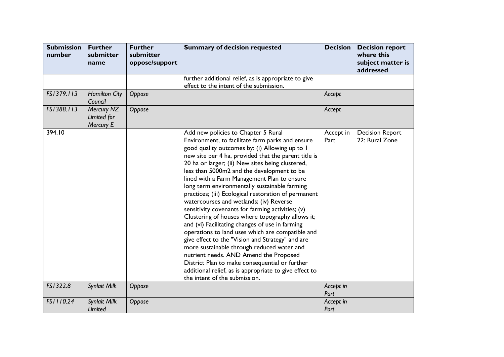| <b>Submission</b><br>number | <b>Further</b><br>submitter<br>name    | <b>Further</b><br>submitter<br>oppose/support | <b>Summary of decision requested</b>                                                                                                                                                                                                                                                                                                                                                                                                                                                                                                                                                                                                                                                                                                                                                                                                                                                                                                                                                                            | <b>Decision</b>   | <b>Decision report</b><br>where this<br>subject matter is<br>addressed |
|-----------------------------|----------------------------------------|-----------------------------------------------|-----------------------------------------------------------------------------------------------------------------------------------------------------------------------------------------------------------------------------------------------------------------------------------------------------------------------------------------------------------------------------------------------------------------------------------------------------------------------------------------------------------------------------------------------------------------------------------------------------------------------------------------------------------------------------------------------------------------------------------------------------------------------------------------------------------------------------------------------------------------------------------------------------------------------------------------------------------------------------------------------------------------|-------------------|------------------------------------------------------------------------|
|                             |                                        |                                               | further additional relief, as is appropriate to give<br>effect to the intent of the submission.                                                                                                                                                                                                                                                                                                                                                                                                                                                                                                                                                                                                                                                                                                                                                                                                                                                                                                                 |                   |                                                                        |
| FS1379.113                  | <b>Hamilton City</b><br>Council        | Oppose                                        |                                                                                                                                                                                                                                                                                                                                                                                                                                                                                                                                                                                                                                                                                                                                                                                                                                                                                                                                                                                                                 | Accept            |                                                                        |
| FS1388.113                  | Mercury NZ<br>Limited for<br>Mercury E | Oppose                                        |                                                                                                                                                                                                                                                                                                                                                                                                                                                                                                                                                                                                                                                                                                                                                                                                                                                                                                                                                                                                                 | Accept            |                                                                        |
| 394.10                      |                                        |                                               | Add new policies to Chapter 5 Rural<br>Environment, to facilitate farm parks and ensure<br>good quality outcomes by: (i) Allowing up to 1<br>new site per 4 ha, provided that the parent title is<br>20 ha or larger; (ii) New sites being clustered,<br>less than 5000m2 and the development to be<br>lined with a Farm Management Plan to ensure<br>long term environmentally sustainable farming<br>practices; (iii) Ecological restoration of permanent<br>watercourses and wetlands; (iv) Reverse<br>sensitivity covenants for farming activities; (v)<br>Clustering of houses where topography allows it;<br>and (vi) Facilitating changes of use in farming<br>operations to land uses which are compatible and<br>give effect to the "Vision and Strategy" and are<br>more sustainable through reduced water and<br>nutrient needs. AND Amend the Proposed<br>District Plan to make consequential or further<br>additional relief, as is appropriate to give effect to<br>the intent of the submission. | Accept in<br>Part | <b>Decision Report</b><br>22: Rural Zone                               |
| FS1322.8                    | Synlait Milk                           | Oppose                                        |                                                                                                                                                                                                                                                                                                                                                                                                                                                                                                                                                                                                                                                                                                                                                                                                                                                                                                                                                                                                                 | Accept in<br>Part |                                                                        |
| FS1110.24                   | Synlait Milk<br>Limited                | Oppose                                        |                                                                                                                                                                                                                                                                                                                                                                                                                                                                                                                                                                                                                                                                                                                                                                                                                                                                                                                                                                                                                 | Accept in<br>Part |                                                                        |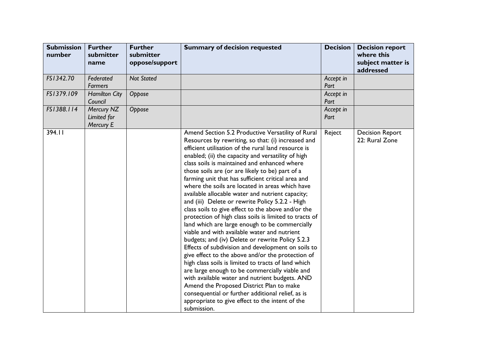| <b>Submission</b><br>number | <b>Further</b><br>submitter<br>name    | <b>Further</b><br>submitter<br>oppose/support | <b>Summary of decision requested</b>                                                                                                                                                                                                                                                                                                                                                                                                                                                                                                                                                                                                                                                                                                                                                                                                                                                                                                                                                                                                                                                                                                                                                                                                                   | <b>Decision</b>   | <b>Decision report</b><br>where this<br>subject matter is<br>addressed |
|-----------------------------|----------------------------------------|-----------------------------------------------|--------------------------------------------------------------------------------------------------------------------------------------------------------------------------------------------------------------------------------------------------------------------------------------------------------------------------------------------------------------------------------------------------------------------------------------------------------------------------------------------------------------------------------------------------------------------------------------------------------------------------------------------------------------------------------------------------------------------------------------------------------------------------------------------------------------------------------------------------------------------------------------------------------------------------------------------------------------------------------------------------------------------------------------------------------------------------------------------------------------------------------------------------------------------------------------------------------------------------------------------------------|-------------------|------------------------------------------------------------------------|
| FS1342.70                   | Federated<br><b>Farmers</b>            | <b>Not Stated</b>                             |                                                                                                                                                                                                                                                                                                                                                                                                                                                                                                                                                                                                                                                                                                                                                                                                                                                                                                                                                                                                                                                                                                                                                                                                                                                        | Accept in<br>Part |                                                                        |
| FS1379.109                  | <b>Hamilton City</b><br>Council        | Oppose                                        |                                                                                                                                                                                                                                                                                                                                                                                                                                                                                                                                                                                                                                                                                                                                                                                                                                                                                                                                                                                                                                                                                                                                                                                                                                                        | Accept in<br>Part |                                                                        |
| FS1388.114                  | Mercury NZ<br>Limited for<br>Mercury E | Oppose                                        |                                                                                                                                                                                                                                                                                                                                                                                                                                                                                                                                                                                                                                                                                                                                                                                                                                                                                                                                                                                                                                                                                                                                                                                                                                                        | Accept in<br>Part |                                                                        |
| 394.11                      |                                        |                                               | Amend Section 5.2 Productive Versatility of Rural<br>Resources by rewriting, so that: (i) increased and<br>efficient utilisation of the rural land resource is<br>enabled; (ii) the capacity and versatility of high<br>class soils is maintained and enhanced where<br>those soils are (or are likely to be) part of a<br>farming unit that has sufficient critical area and<br>where the soils are located in areas which have<br>available allocable water and nutrient capacity;<br>and (iii) Delete or rewrite Policy 5.2.2 - High<br>class soils to give effect to the above and/or the<br>protection of high class soils is limited to tracts of<br>land which are large enough to be commercially<br>viable and with available water and nutrient<br>budgets; and (iv) Delete or rewrite Policy 5.2.3<br>Effects of subdivision and development on soils to<br>give effect to the above and/or the protection of<br>high class soils is limited to tracts of land which<br>are large enough to be commercially viable and<br>with available water and nutrient budgets. AND<br>Amend the Proposed District Plan to make<br>consequential or further additional relief, as is<br>appropriate to give effect to the intent of the<br>submission. | Reject            | <b>Decision Report</b><br>22: Rural Zone                               |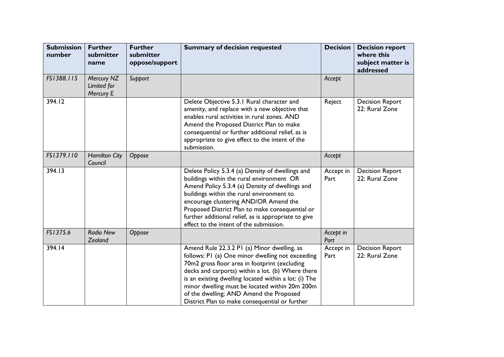| <b>Submission</b><br>number | <b>Further</b><br>submitter<br>name    | <b>Further</b><br>submitter<br>oppose/support | <b>Summary of decision requested</b>                                                                                                                                                                                                                                                                                                                                                                          | <b>Decision</b>   | <b>Decision report</b><br>where this<br>subject matter is<br>addressed |
|-----------------------------|----------------------------------------|-----------------------------------------------|---------------------------------------------------------------------------------------------------------------------------------------------------------------------------------------------------------------------------------------------------------------------------------------------------------------------------------------------------------------------------------------------------------------|-------------------|------------------------------------------------------------------------|
| FS1388.115                  | Mercury NZ<br>Limited for<br>Mercury E | Support                                       |                                                                                                                                                                                                                                                                                                                                                                                                               | Accept            |                                                                        |
| 394.12                      |                                        |                                               | Delete Objective 5.3.1 Rural character and<br>amenity, and replace with a new objective that<br>enables rural activities in rural zones. AND<br>Amend the Proposed District Plan to make<br>consequential or further additional relief, as is<br>appropriate to give effect to the intent of the<br>submission.                                                                                               | Reject            | <b>Decision Report</b><br>22: Rural Zone                               |
| FS1379.110                  | <b>Hamilton City</b><br>Council        | Oppose                                        |                                                                                                                                                                                                                                                                                                                                                                                                               | Accept            |                                                                        |
| 394.13                      |                                        |                                               | Delete Policy 5.3.4 (a) Density of dwellings and<br>buildings within the rural environment OR<br>Amend Policy 5.3.4 (a) Density of dwellings and<br>buildings within the rural environment to<br>encourage clustering AND/OR Amend the<br>Proposed District Plan to make consequential or<br>further additional relief, as is appropriate to give<br>effect to the intent of the submission.                  | Accept in<br>Part | <b>Decision Report</b><br>22: Rural Zone                               |
| FS1375.6                    | <b>Radio New</b><br>Zealand            | Oppose                                        |                                                                                                                                                                                                                                                                                                                                                                                                               | Accept in<br>Part |                                                                        |
| 394.14                      |                                        |                                               | Amend Rule 22.3.2 PI (a) Minor dwelling, as<br>follows: P1 (a) One minor dwelling not exceeding<br>70m2 gross floor area in footprint (excluding<br>decks and carports) within a lot. (b) Where there<br>is an existing dwelling located within a lot: (i) The<br>minor dwelling must be located within 20m 200m<br>of the dwelling; AND Amend the Proposed<br>District Plan to make consequential or further | Accept in<br>Part | <b>Decision Report</b><br>22: Rural Zone                               |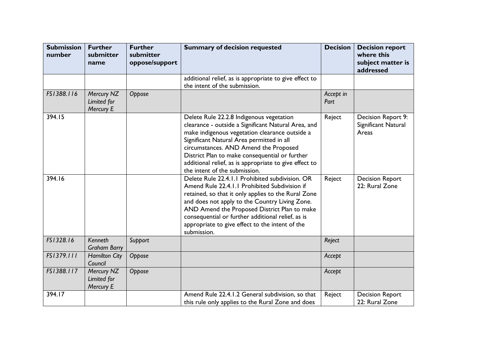| <b>Submission</b><br>number | <b>Further</b><br>submitter<br>name    | <b>Further</b><br>submitter<br>oppose/support | <b>Summary of decision requested</b>                                                                                                                                                                                                                                                                                                                                                 | <b>Decision</b>   | <b>Decision report</b><br>where this<br>subject matter is<br>addressed |
|-----------------------------|----------------------------------------|-----------------------------------------------|--------------------------------------------------------------------------------------------------------------------------------------------------------------------------------------------------------------------------------------------------------------------------------------------------------------------------------------------------------------------------------------|-------------------|------------------------------------------------------------------------|
|                             |                                        |                                               | additional relief, as is appropriate to give effect to<br>the intent of the submission.                                                                                                                                                                                                                                                                                              |                   |                                                                        |
| FS1388.116                  | Mercury NZ<br>Limited for<br>Mercury E | Oppose                                        |                                                                                                                                                                                                                                                                                                                                                                                      | Accept in<br>Part |                                                                        |
| 394.15                      |                                        |                                               | Delete Rule 22.2.8 Indigenous vegetation<br>clearance - outside a Significant Natural Area, and<br>make indigenous vegetation clearance outside a<br>Significant Natural Area permitted in all<br>circumstances. AND Amend the Proposed<br>District Plan to make consequential or further<br>additional relief, as is appropriate to give effect to<br>the intent of the submission. | Reject            | Decision Report 9:<br>Significant Natural<br>Areas                     |
| 394.16                      |                                        |                                               | Delete Rule 22.4.1.1 Prohibited subdivision. OR<br>Amend Rule 22.4.1.1 Prohibited Subdivision if<br>retained, so that it only applies to the Rural Zone<br>and does not apply to the Country Living Zone.<br>AND Amend the Proposed District Plan to make<br>consequential or further additional relief, as is<br>appropriate to give effect to the intent of the<br>submission.     | Reject            | <b>Decision Report</b><br>22: Rural Zone                               |
| FS1328.16                   | Kenneth<br><b>Graham Barry</b>         | Support                                       |                                                                                                                                                                                                                                                                                                                                                                                      | Reject            |                                                                        |
| FS1379.111                  | <b>Hamilton City</b><br>Council        | Oppose                                        |                                                                                                                                                                                                                                                                                                                                                                                      | Accept            |                                                                        |
| FS1388.117                  | Mercury NZ<br>Limited for<br>Mercury E | Oppose                                        |                                                                                                                                                                                                                                                                                                                                                                                      | Accept            |                                                                        |
| 394.17                      |                                        |                                               | Amend Rule 22.4.1.2 General subdivision, so that<br>this rule only applies to the Rural Zone and does                                                                                                                                                                                                                                                                                | Reject            | <b>Decision Report</b><br>22: Rural Zone                               |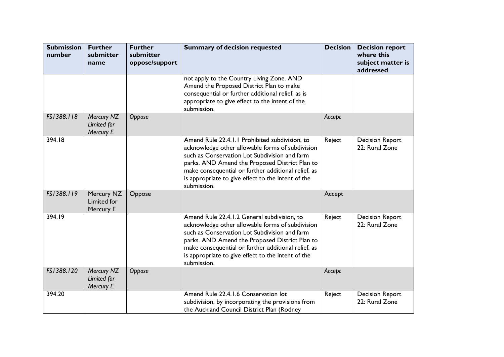| <b>Submission</b><br>number | <b>Further</b><br>submitter<br>name    | <b>Further</b><br>submitter<br>oppose/support | <b>Summary of decision requested</b>                                                                                                                                                                                                                                                                                              | <b>Decision</b> | <b>Decision report</b><br>where this<br>subject matter is<br>addressed |
|-----------------------------|----------------------------------------|-----------------------------------------------|-----------------------------------------------------------------------------------------------------------------------------------------------------------------------------------------------------------------------------------------------------------------------------------------------------------------------------------|-----------------|------------------------------------------------------------------------|
|                             |                                        |                                               | not apply to the Country Living Zone. AND<br>Amend the Proposed District Plan to make<br>consequential or further additional relief, as is<br>appropriate to give effect to the intent of the<br>submission.                                                                                                                      |                 |                                                                        |
| FS1388.118                  | Mercury NZ<br>Limited for<br>Mercury E | Oppose                                        |                                                                                                                                                                                                                                                                                                                                   | Accept          |                                                                        |
| 394.18                      |                                        |                                               | Amend Rule 22.4.1.1 Prohibited subdivision, to<br>acknowledge other allowable forms of subdivision<br>such as Conservation Lot Subdivision and farm<br>parks. AND Amend the Proposed District Plan to<br>make consequential or further additional relief, as<br>is appropriate to give effect to the intent of the<br>submission. | Reject          | <b>Decision Report</b><br>22: Rural Zone                               |
| FS1388.119                  | Mercury NZ<br>Limited for<br>Mercury E | Oppose                                        |                                                                                                                                                                                                                                                                                                                                   | Accept          |                                                                        |
| 394.19                      |                                        |                                               | Amend Rule 22.4.1.2 General subdivision, to<br>acknowledge other allowable forms of subdivision<br>such as Conservation Lot Subdivision and farm<br>parks. AND Amend the Proposed District Plan to<br>make consequential or further additional relief, as<br>is appropriate to give effect to the intent of the<br>submission.    | Reject          | <b>Decision Report</b><br>22: Rural Zone                               |
| FS1388.120                  | Mercury NZ<br>Limited for<br>Mercury E | Oppose                                        |                                                                                                                                                                                                                                                                                                                                   | Accept          |                                                                        |
| 394.20                      |                                        |                                               | Amend Rule 22.4.1.6 Conservation lot<br>subdivision, by incorporating the provisions from<br>the Auckland Council District Plan (Rodney                                                                                                                                                                                           | Reject          | <b>Decision Report</b><br>22: Rural Zone                               |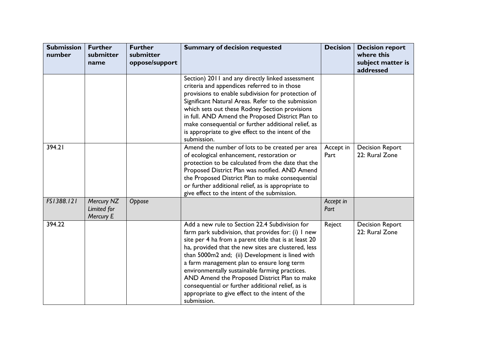| <b>Submission</b><br>number | <b>Further</b><br>submitter<br>name    | <b>Further</b><br>submitter<br>oppose/support | <b>Summary of decision requested</b>                                                                                                                                                                                                                                                                                                                                                                                                                                                                                                            | <b>Decision</b>   | <b>Decision report</b><br>where this<br>subject matter is<br>addressed |
|-----------------------------|----------------------------------------|-----------------------------------------------|-------------------------------------------------------------------------------------------------------------------------------------------------------------------------------------------------------------------------------------------------------------------------------------------------------------------------------------------------------------------------------------------------------------------------------------------------------------------------------------------------------------------------------------------------|-------------------|------------------------------------------------------------------------|
|                             |                                        |                                               | Section) 2011 and any directly linked assessment<br>criteria and appendices referred to in those<br>provisions to enable subdivision for protection of<br>Significant Natural Areas. Refer to the submission<br>which sets out these Rodney Section provisions<br>in full. AND Amend the Proposed District Plan to<br>make consequential or further additional relief, as<br>is appropriate to give effect to the intent of the<br>submission.                                                                                                  |                   |                                                                        |
| 394.21                      |                                        |                                               | Amend the number of lots to be created per area<br>of ecological enhancement, restoration or<br>protection to be calculated from the date that the<br>Proposed District Plan was notified. AND Amend<br>the Proposed District Plan to make consequential<br>or further additional relief, as is appropriate to<br>give effect to the intent of the submission.                                                                                                                                                                                  | Accept in<br>Part | <b>Decision Report</b><br>22: Rural Zone                               |
| FS1388.121                  | Mercury NZ<br>Limited for<br>Mercury E | Oppose                                        |                                                                                                                                                                                                                                                                                                                                                                                                                                                                                                                                                 | Accept in<br>Part |                                                                        |
| 394.22                      |                                        |                                               | Add a new rule to Section 22.4 Subdivision for<br>farm park subdivision, that provides for: (i) I new<br>site per 4 ha from a parent title that is at least 20<br>ha, provided that the new sites are clustered, less<br>than 5000m2 and; (ii) Development is lined with<br>a farm management plan to ensure long term<br>environmentally sustainable farming practices.<br>AND Amend the Proposed District Plan to make<br>consequential or further additional relief, as is<br>appropriate to give effect to the intent of the<br>submission. | Reject            | <b>Decision Report</b><br>22: Rural Zone                               |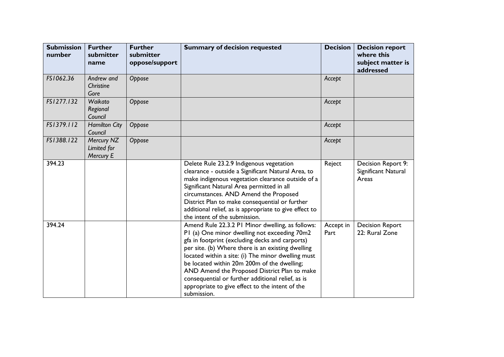| <b>Submission</b><br>number | <b>Further</b><br>submitter<br>name    | <b>Further</b><br>submitter<br>oppose/support | <b>Summary of decision requested</b>                                                                                                                                                                                                                                                                                                                                                                                                                                                 | <b>Decision</b>   | <b>Decision report</b><br>where this<br>subject matter is<br>addressed |
|-----------------------------|----------------------------------------|-----------------------------------------------|--------------------------------------------------------------------------------------------------------------------------------------------------------------------------------------------------------------------------------------------------------------------------------------------------------------------------------------------------------------------------------------------------------------------------------------------------------------------------------------|-------------------|------------------------------------------------------------------------|
| FS1062.36                   | Andrew and<br>Christine<br>Gore        | Oppose                                        |                                                                                                                                                                                                                                                                                                                                                                                                                                                                                      | Accept            |                                                                        |
| FS1277.132                  | Waikato<br>Regional<br>Council         | Oppose                                        |                                                                                                                                                                                                                                                                                                                                                                                                                                                                                      | Accept            |                                                                        |
| FS1379.112                  | <b>Hamilton City</b><br>Council        | Oppose                                        |                                                                                                                                                                                                                                                                                                                                                                                                                                                                                      | Accept            |                                                                        |
| FS1388.122                  | Mercury NZ<br>Limited for<br>Mercury E | Oppose                                        |                                                                                                                                                                                                                                                                                                                                                                                                                                                                                      | Accept            |                                                                        |
| 394.23                      |                                        |                                               | Delete Rule 23.2.9 Indigenous vegetation<br>clearance - outside a Significant Natural Area, to<br>make indigenous vegetation clearance outside of a<br>Significant Natural Area permitted in all<br>circumstances. AND Amend the Proposed<br>District Plan to make consequential or further<br>additional relief, as is appropriate to give effect to<br>the intent of the submission.                                                                                               | Reject            | Decision Report 9:<br>Significant Natural<br>Areas                     |
| 394.24                      |                                        |                                               | Amend Rule 22.3.2 PI Minor dwelling, as follows:<br>PI (a) One minor dwelling not exceeding 70m2<br>gfa in footprint (excluding decks and carports)<br>per site. (b) Where there is an existing dwelling<br>located within a site: (i) The minor dwelling must<br>be located within 20m 200m of the dwelling;<br>AND Amend the Proposed District Plan to make<br>consequential or further additional relief, as is<br>appropriate to give effect to the intent of the<br>submission. | Accept in<br>Part | <b>Decision Report</b><br>22: Rural Zone                               |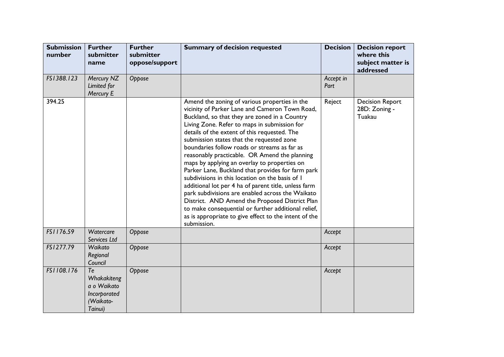| <b>Submission</b><br>number | <b>Further</b><br>submitter<br>name                                      | <b>Further</b><br>submitter<br>oppose/support | <b>Summary of decision requested</b>                                                                                                                                                                                                                                                                                                                                                                                                                                                                                                                                                                                                                                                                                                                                                                                                                | <b>Decision</b>   | <b>Decision report</b><br>where this<br>subject matter is<br>addressed |
|-----------------------------|--------------------------------------------------------------------------|-----------------------------------------------|-----------------------------------------------------------------------------------------------------------------------------------------------------------------------------------------------------------------------------------------------------------------------------------------------------------------------------------------------------------------------------------------------------------------------------------------------------------------------------------------------------------------------------------------------------------------------------------------------------------------------------------------------------------------------------------------------------------------------------------------------------------------------------------------------------------------------------------------------------|-------------------|------------------------------------------------------------------------|
| FS1388.123                  | Mercury NZ<br>Limited for<br>Mercury E                                   | Oppose                                        |                                                                                                                                                                                                                                                                                                                                                                                                                                                                                                                                                                                                                                                                                                                                                                                                                                                     | Accept in<br>Part |                                                                        |
| 394.25                      |                                                                          |                                               | Amend the zoning of various properties in the<br>vicinity of Parker Lane and Cameron Town Road,<br>Buckland, so that they are zoned in a Country<br>Living Zone. Refer to maps in submission for<br>details of the extent of this requested. The<br>submission states that the requested zone<br>boundaries follow roads or streams as far as<br>reasonably practicable. OR Amend the planning<br>maps by applying an overlay to properties on<br>Parker Lane, Buckland that provides for farm park<br>subdivisions in this location on the basis of I<br>additional lot per 4 ha of parent title, unless farm<br>park subdivisions are enabled across the Waikato<br>District. AND Amend the Proposed District Plan<br>to make consequential or further additional relief,<br>as is appropriate to give effect to the intent of the<br>submission. | Reject            | <b>Decision Report</b><br>28D: Zoning -<br>Tuakau                      |
| FS1176.59                   | Watercare<br>Services Ltd                                                | Oppose                                        |                                                                                                                                                                                                                                                                                                                                                                                                                                                                                                                                                                                                                                                                                                                                                                                                                                                     | Accept            |                                                                        |
| FS1277.79                   | Waikato<br>Regional<br>Council                                           | Oppose                                        |                                                                                                                                                                                                                                                                                                                                                                                                                                                                                                                                                                                                                                                                                                                                                                                                                                                     | Accept            |                                                                        |
| FS1108.176                  | Te<br>Whakakiteng<br>a o Waikato<br>Incorporated<br>(Waikato-<br>Tainui) | Oppose                                        |                                                                                                                                                                                                                                                                                                                                                                                                                                                                                                                                                                                                                                                                                                                                                                                                                                                     | Accept            |                                                                        |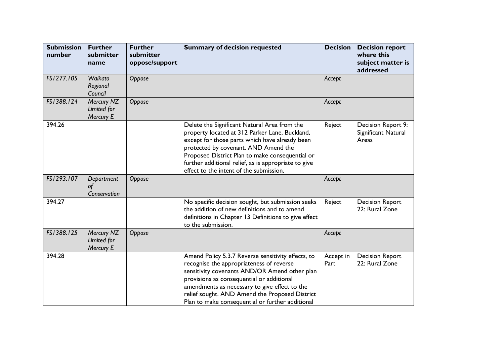| <b>Submission</b><br>number | <b>Further</b><br>submitter<br>name    | <b>Further</b><br>submitter<br>oppose/support | <b>Summary of decision requested</b>                                                                                                                                                                                                                                                                                                                | <b>Decision</b>   | <b>Decision report</b><br>where this<br>subject matter is<br>addressed |
|-----------------------------|----------------------------------------|-----------------------------------------------|-----------------------------------------------------------------------------------------------------------------------------------------------------------------------------------------------------------------------------------------------------------------------------------------------------------------------------------------------------|-------------------|------------------------------------------------------------------------|
| FS1277.105                  | Waikato<br>Regional<br>Council         | Oppose                                        |                                                                                                                                                                                                                                                                                                                                                     | Accept            |                                                                        |
| FS1388.124                  | Mercury NZ<br>Limited for<br>Mercury E | Oppose                                        |                                                                                                                                                                                                                                                                                                                                                     | Accept            |                                                                        |
| 394.26                      |                                        |                                               | Delete the Significant Natural Area from the<br>property located at 312 Parker Lane, Buckland,<br>except for those parts which have already been<br>protected by covenant. AND Amend the<br>Proposed District Plan to make consequential or<br>further additional relief, as is appropriate to give<br>effect to the intent of the submission.      | Reject            | Decision Report 9:<br>Significant Natural<br>Areas                     |
| FS1293.107                  | Department<br>of<br>Conservation       | Oppose                                        |                                                                                                                                                                                                                                                                                                                                                     | Accept            |                                                                        |
| 394.27                      |                                        |                                               | No specific decision sought, but submission seeks<br>the addition of new definitions and to amend<br>definitions in Chapter 13 Definitions to give effect<br>to the submission.                                                                                                                                                                     | Reject            | <b>Decision Report</b><br>22: Rural Zone                               |
| FS1388.125                  | Mercury NZ<br>Limited for<br>Mercury E | Oppose                                        |                                                                                                                                                                                                                                                                                                                                                     | Accept            |                                                                        |
| 394.28                      |                                        |                                               | Amend Policy 5.3.7 Reverse sensitivity effects, to<br>recognise the appropriateness of reverse<br>sensitivity covenants AND/OR Amend other plan<br>provisions as consequential or additional<br>amendments as necessary to give effect to the<br>relief sought. AND Amend the Proposed District<br>Plan to make consequential or further additional | Accept in<br>Part | <b>Decision Report</b><br>22: Rural Zone                               |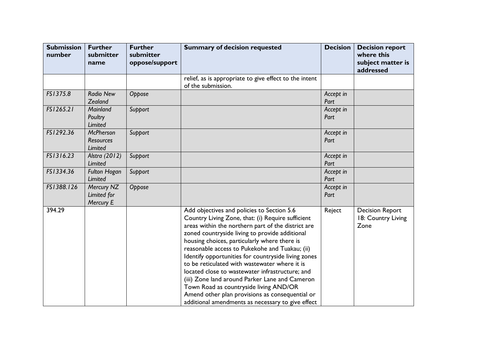| <b>Submission</b><br>number | <b>Further</b><br>submitter<br>name             | <b>Further</b><br>submitter<br>oppose/support | <b>Summary of decision requested</b>                                                                                                                                                                                                                                                                                                                                                                                                                                                                                                                                                                                                                                     | <b>Decision</b>   | <b>Decision report</b><br>where this<br>subject matter is<br>addressed |
|-----------------------------|-------------------------------------------------|-----------------------------------------------|--------------------------------------------------------------------------------------------------------------------------------------------------------------------------------------------------------------------------------------------------------------------------------------------------------------------------------------------------------------------------------------------------------------------------------------------------------------------------------------------------------------------------------------------------------------------------------------------------------------------------------------------------------------------------|-------------------|------------------------------------------------------------------------|
|                             |                                                 |                                               | relief, as is appropriate to give effect to the intent<br>of the submission.                                                                                                                                                                                                                                                                                                                                                                                                                                                                                                                                                                                             |                   |                                                                        |
| FS1375.8                    | <b>Radio New</b><br>Zealand                     | Oppose                                        |                                                                                                                                                                                                                                                                                                                                                                                                                                                                                                                                                                                                                                                                          | Accept in<br>Part |                                                                        |
| FS1265.21                   | Mainland<br>Poultry<br>Limited                  | Support                                       |                                                                                                                                                                                                                                                                                                                                                                                                                                                                                                                                                                                                                                                                          | Accept in<br>Part |                                                                        |
| FS1292.36                   | <b>McPherson</b><br><b>Resources</b><br>Limited | Support                                       |                                                                                                                                                                                                                                                                                                                                                                                                                                                                                                                                                                                                                                                                          | Accept in<br>Part |                                                                        |
| FS1316.23                   | Alstra (2012)<br>Limited                        | Support                                       |                                                                                                                                                                                                                                                                                                                                                                                                                                                                                                                                                                                                                                                                          | Accept in<br>Part |                                                                        |
| FS1334.36                   | <b>Fulton Hogan</b><br><b>Limited</b>           | Support                                       |                                                                                                                                                                                                                                                                                                                                                                                                                                                                                                                                                                                                                                                                          | Accept in<br>Part |                                                                        |
| FS1388.126                  | Mercury NZ<br>Limited for<br>Mercury E          | Oppose                                        |                                                                                                                                                                                                                                                                                                                                                                                                                                                                                                                                                                                                                                                                          | Accept in<br>Part |                                                                        |
| 394.29                      |                                                 |                                               | Add objectives and policies to Section 5.6<br>Country Living Zone, that: (i) Require sufficient<br>areas within the northern part of the district are<br>zoned countryside living to provide additional<br>housing choices, particularly where there is<br>reasonable access to Pukekohe and Tuakau; (ii)<br>Identify opportunities for countryside living zones<br>to be reticulated with wastewater where it is<br>located close to wastewater infrastructure; and<br>(iii) Zone land around Parker Lane and Cameron<br>Town Road as countryside living AND/OR<br>Amend other plan provisions as consequential or<br>additional amendments as necessary to give effect | Reject            | <b>Decision Report</b><br>18: Country Living<br>Zone                   |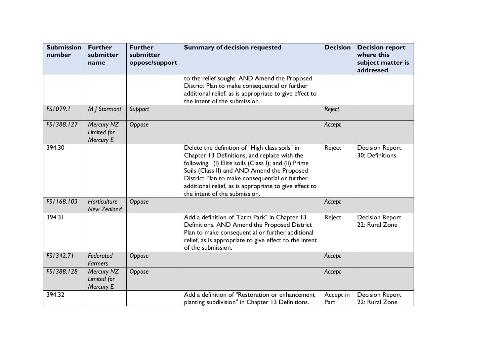| <b>Submission</b><br>number | <b>Further</b><br>submitter<br>name    | <b>Further</b><br>submitter<br>oppose/support | <b>Summary of decision requested</b>                                                                                                                                                                                                                                                                                                               | <b>Decision</b>   | <b>Decision report</b><br>where this<br>subject matter is<br>addressed |
|-----------------------------|----------------------------------------|-----------------------------------------------|----------------------------------------------------------------------------------------------------------------------------------------------------------------------------------------------------------------------------------------------------------------------------------------------------------------------------------------------------|-------------------|------------------------------------------------------------------------|
|                             |                                        |                                               | to the relief sought. AND Amend the Proposed<br>District Plan to make consequential or further<br>additional relief, as is appropriate to give effect to<br>the intent of the submission.                                                                                                                                                          |                   |                                                                        |
| FS1079.1                    | M   Stormont                           | Support                                       |                                                                                                                                                                                                                                                                                                                                                    | Reject            |                                                                        |
| FS1388.127                  | Mercury NZ<br>Limited for<br>Mercury E | Oppose                                        |                                                                                                                                                                                                                                                                                                                                                    | Accept            |                                                                        |
| 394.30                      |                                        |                                               | Delete the definition of "High class soils" in<br>Chapter 13 Definitions, and replace with the<br>following: (i) Elite soils (Class I); and (ii) Prime<br>Soils (Class II) and AND Amend the Proposed<br>District Plan to make consequential or further<br>additional relief, as is appropriate to give effect to<br>the intent of the submission. | Reject            | <b>Decision Report</b><br>30: Definitions                              |
| FS1168.103                  | Horticulture<br><b>New Zealand</b>     | Oppose                                        |                                                                                                                                                                                                                                                                                                                                                    | Accept            |                                                                        |
| 394.31                      |                                        |                                               | Add a definition of "Farm Park" in Chapter 13<br>Definitions. AND Amend the Proposed District<br>Plan to make consequential or further additional<br>relief, as is appropriate to give effect to the intent<br>of the submission.                                                                                                                  | Reject            | <b>Decision Report</b><br>22: Rural Zone                               |
| FS1342.71                   | Federated<br><b>Farmers</b>            | Oppose                                        |                                                                                                                                                                                                                                                                                                                                                    | Accept            |                                                                        |
| FS1388.128                  | Mercury NZ<br>Limited for<br>Mercury E | Oppose                                        |                                                                                                                                                                                                                                                                                                                                                    | Accept            |                                                                        |
| 394.32                      |                                        |                                               | Add a definition of "Restoration or enhancement<br>planting subdivision" in Chapter 13 Definitions.                                                                                                                                                                                                                                                | Accept in<br>Part | <b>Decision Report</b><br>22: Rural Zone                               |